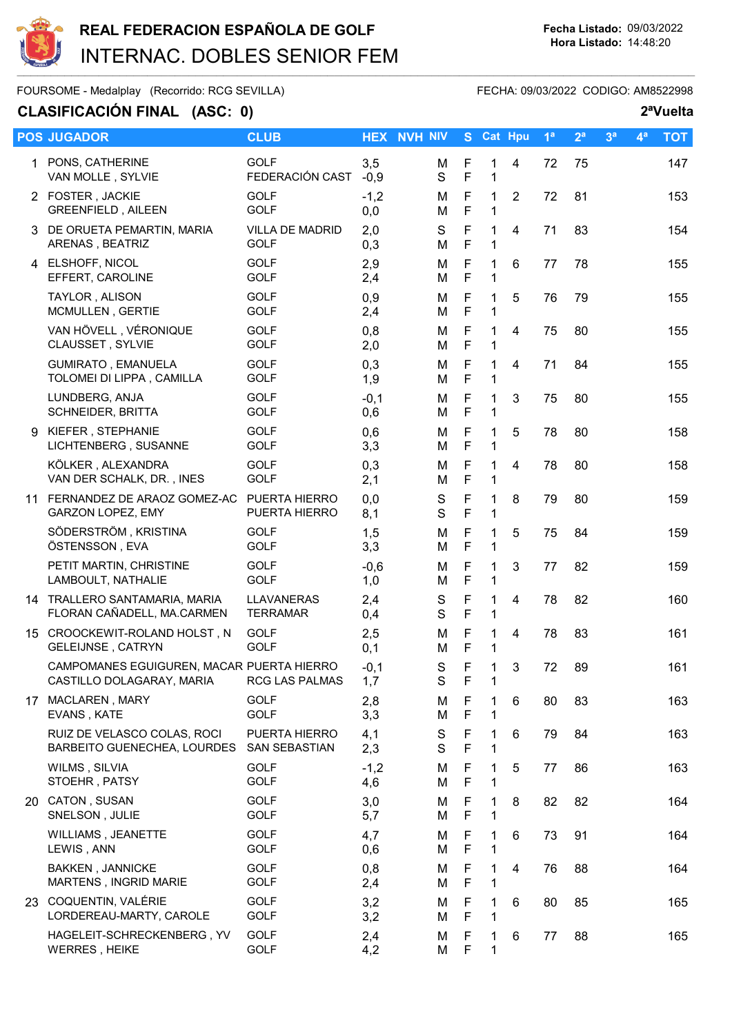

## REAL FEDERACION ESPAÑOLA DE GOLF<br>
Her Listado: 09/03/2022<br>
Her Listado: 09/03/2022 INTERNAC. DOBLES SENIOR FEM

FOURSOME - Medalplay (Recorrido: RCG SEVILLA) FECHA: 09/03/2022 CODIGO: AM8522998

## CLASIFICACIÓN FINAL (ASC: 0) 2<sup>a</sup>Vuelta

|   | <b>POS JUGADOR</b>                                                     | <b>CLUB</b>                           |               | <b>HEX NVH NIV</b> |                            | S Cat Hpu         |                | 1 <sup>a</sup> | 2 <sup>a</sup> | 3 <sup>a</sup> | 4 <sup>a</sup> | <b>TOT</b> |
|---|------------------------------------------------------------------------|---------------------------------------|---------------|--------------------|----------------------------|-------------------|----------------|----------------|----------------|----------------|----------------|------------|
|   | 1 PONS, CATHERINE<br>VAN MOLLE, SYLVIE                                 | <b>GOLF</b><br>FEDERACIÓN CAST        | 3,5<br>$-0,9$ | M<br>S             | F<br>F                     | 1<br>1            | 4              | 72             | 75             |                |                | 147        |
|   | 2 FOSTER, JACKIE<br><b>GREENFIELD, AILEEN</b>                          | <b>GOLF</b><br><b>GOLF</b>            | $-1,2$<br>0,0 | м<br>M             | F<br>F                     | 1<br>1            | $\overline{2}$ | 72             | 81             |                |                | 153        |
|   | 3 DE ORUETA PEMARTIN, MARIA<br>ARENAS, BEATRIZ                         | <b>VILLA DE MADRID</b><br><b>GOLF</b> | 2,0<br>0,3    | S<br>Μ             | $\mathsf F$<br>$\mathsf F$ | $\mathbf{1}$<br>1 | 4              | 71             | 83             |                |                | 154        |
|   | 4 ELSHOFF, NICOL<br>EFFERT, CAROLINE                                   | <b>GOLF</b><br><b>GOLF</b>            | 2,9<br>2,4    | м<br>м             | $\mathsf F$<br>F           | 1<br>$\mathbf{1}$ | 6              | 77             | 78             |                |                | 155        |
|   | TAYLOR, ALISON<br>MCMULLEN, GERTIE                                     | <b>GOLF</b><br><b>GOLF</b>            | 0,9<br>2,4    | м<br>Μ             | F<br>$\mathsf F$           | 1<br>1            | 5              | 76             | 79             |                |                | 155        |
|   | VAN HÖVELL, VÉRONIQUE<br>CLAUSSET, SYLVIE                              | <b>GOLF</b><br><b>GOLF</b>            | 0,8<br>2,0    | м<br>Μ             | F<br>$\mathsf F$           | 1<br>1            | 4              | 75             | 80             |                |                | 155        |
|   | <b>GUMIRATO, EMANUELA</b><br>TOLOMEI DI LIPPA, CAMILLA                 | <b>GOLF</b><br><b>GOLF</b>            | 0,3<br>1,9    | м<br>М             | F<br>F                     | 1<br>1            | 4              | 71             | 84             |                |                | 155        |
|   | LUNDBERG, ANJA<br><b>SCHNEIDER, BRITTA</b>                             | <b>GOLF</b><br><b>GOLF</b>            | $-0,1$<br>0,6 | Μ<br>M             | F<br>F                     | 1<br>1            | 3              | 75             | 80             |                |                | 155        |
| 9 | KIEFER, STEPHANIE<br>LICHTENBERG, SUSANNE                              | <b>GOLF</b><br><b>GOLF</b>            | 0,6<br>3,3    | м<br>Μ             | F<br>$\mathsf F$           | 1<br>1            | 5              | 78             | 80             |                |                | 158        |
|   | KÖLKER, ALEXANDRA<br>VAN DER SCHALK, DR., INES                         | <b>GOLF</b><br><b>GOLF</b>            | 0,3<br>2,1    | M<br>Μ             | $\mathsf F$<br>$\mathsf F$ | 1<br>1            | 4              | 78             | 80             |                |                | 158        |
|   | 11 FERNANDEZ DE ARAOZ GOMEZ-AC PUERTA HIERRO<br>GARZON LOPEZ, EMY      | PUERTA HIERRO                         | 0,0<br>8,1    | ${\mathsf S}$<br>S | F<br>F                     | 1<br>$\mathbf{1}$ | 8              | 79             | 80             |                |                | 159        |
|   | SÖDERSTRÖM, KRISTINA<br>ÖSTENSSON, EVA                                 | <b>GOLF</b><br><b>GOLF</b>            | 1,5<br>3,3    | Μ<br>Μ             | F<br>$\mathsf F$           | 1<br>$\mathbf{1}$ | 5              | 75             | 84             |                |                | 159        |
|   | PETIT MARTIN, CHRISTINE<br>LAMBOULT, NATHALIE                          | <b>GOLF</b><br><b>GOLF</b>            | $-0,6$<br>1,0 | м<br>Μ             | F<br>$\mathsf F$           | 1<br>1            | 3              | 77             | 82             |                |                | 159        |
|   | 14 TRALLERO SANTAMARIA, MARIA<br>FLORAN CAÑADELL, MA.CARMEN            | LLAVANERAS<br><b>TERRAMAR</b>         | 2,4<br>0,4    | S<br>S             | F<br>F                     | 1<br>1            | 4              | 78             | 82             |                |                | 160        |
|   | 15 CROOCKEWIT-ROLAND HOLST, N<br><b>GELEIJNSE, CATRYN</b>              | <b>GOLF</b><br><b>GOLF</b>            | 2,5<br>0,1    | M<br>м             | F<br>F                     | 1<br>1            | 4              | 78             | 83             |                |                | 161        |
|   | CAMPOMANES EGUIGUREN, MACAR PUERTA HIERRO<br>CASTILLO DOLAGARAY, MARIA | RCG LAS PALMAS                        | $-0,1$<br>1,7 | S<br>S             | F<br>F                     | 1<br>1            | 3              | 72             | 89             |                |                | 161        |
|   | 17 MACLAREN, MARY<br>EVANS, KATE                                       | <b>GOLF</b><br><b>GOLF</b>            | 2,8<br>3,3    | Μ<br>M             | F<br>F                     | 1<br>1            | 6              | 80             | 83             |                |                | 163        |
|   | RUIZ DE VELASCO COLAS, ROCI<br>BARBEITO GUENECHEA, LOURDES             | PUERTA HIERRO<br><b>SAN SEBASTIAN</b> | 4,1<br>2,3    | S<br>S             | F<br>F                     | 1<br>1            | 6              | 79             | 84             |                |                | 163        |
|   | WILMS, SILVIA<br>STOEHR, PATSY                                         | <b>GOLF</b><br><b>GOLF</b>            | $-1,2$<br>4,6 | M<br>Μ             | F<br>$\mathsf F$           | 1<br>1            | 5              | 77             | 86             |                |                | 163        |
|   | 20 CATON, SUSAN<br>SNELSON, JULIE                                      | <b>GOLF</b><br><b>GOLF</b>            | 3,0<br>5,7    | М<br>м             | F<br>$\mathsf F$           | 1<br>1            | 8              | 82             | 82             |                |                | 164        |
|   | WILLIAMS, JEANETTE<br>LEWIS, ANN                                       | <b>GOLF</b><br><b>GOLF</b>            | 4,7<br>0,6    | м<br>М             | F<br>$\mathsf F$           | 1<br>1            | 6              | 73             | 91             |                |                | 164        |
|   | <b>BAKKEN, JANNICKE</b><br>MARTENS, INGRID MARIE                       | <b>GOLF</b><br><b>GOLF</b>            | 0,8<br>2,4    | м<br>Μ             | F<br>F                     | 1<br>1            | 4              | 76             | 88             |                |                | 164        |
|   | 23 COQUENTIN, VALÉRIE<br>LORDEREAU-MARTY, CAROLE                       | <b>GOLF</b><br><b>GOLF</b>            | 3,2<br>3,2    | м<br>М             | F<br>$\mathsf F$           | 1<br>1            | 6              | 80             | 85             |                |                | 165        |
|   | HAGELEIT-SCHRECKENBERG, YV<br><b>WERRES, HEIKE</b>                     | <b>GOLF</b><br><b>GOLF</b>            | 2,4<br>4,2    | М<br>Μ             | F<br>F                     | 1<br>1            | 6              | 77             | 88             |                |                | 165        |